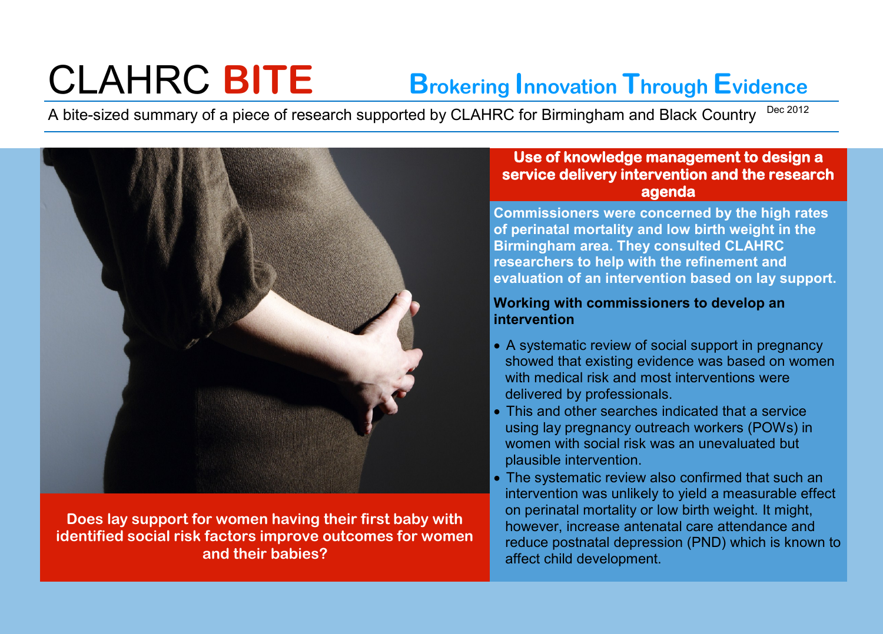# CLAHRC **BITE Brokering Innovation Through Evidence**

A bite-sized summary of a piece of research supported by CLAHRC for Birmingham and Black Country Dec 2012



**Does lay support for women having their first baby with identified social risk factors improve outcomes for women and their babies?**

#### **Use of knowledge management to design a service delivery intervention and the research agenda**

**Commissioners were concerned by the high rates of perinatal mortality and low birth weight in the Birmingham area. They consulted CLAHRC researchers to help with the refinement and evaluation of an intervention based on lay support.** 

#### **Working with commissioners to develop an intervention**

- A systematic review of social support in pregnancy showed that existing evidence was based on women with medical risk and most interventions were delivered by professionals.
- This and other searches indicated that a service using lay pregnancy outreach workers (POWs) in women with social risk was an unevaluated but plausible intervention.
- The systematic review also confirmed that such an intervention was unlikely to yield a measurable effect on perinatal mortality or low birth weight. It might, however, increase antenatal care attendance and reduce postnatal depression (PND) which is known to affect child development.